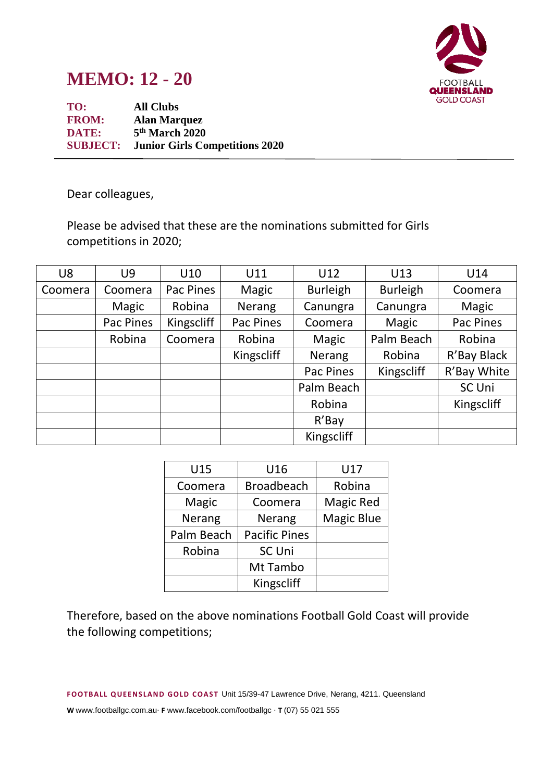

## **MEMO: 12 - 20**

**TO: All Clubs FROM: Alan Marquez DATE: 5 th March 2020 SUBJECT: Junior Girls Competitions 2020**

Dear colleagues,

Please be advised that these are the nominations submitted for Girls competitions in 2020;

| U <sub>8</sub> | U9        | U10        | U11        | U12             | U13             | U14         |
|----------------|-----------|------------|------------|-----------------|-----------------|-------------|
| Coomera        | Coomera   | Pac Pines  | Magic      | <b>Burleigh</b> | <b>Burleigh</b> | Coomera     |
|                | Magic     | Robina     | Nerang     | Canungra        | Canungra        | Magic       |
|                | Pac Pines | Kingscliff | Pac Pines  | Coomera         | Magic           | Pac Pines   |
|                | Robina    | Coomera    | Robina     | Magic           | Palm Beach      | Robina      |
|                |           |            | Kingscliff | <b>Nerang</b>   | Robina          | R'Bay Black |
|                |           |            |            | Pac Pines       | Kingscliff      | R'Bay White |
|                |           |            |            | Palm Beach      |                 | SC Uni      |
|                |           |            |            | Robina          |                 | Kingscliff  |
|                |           |            |            | $R'$ Bay        |                 |             |
|                |           |            |            | Kingscliff      |                 |             |

| U15        | U16                  | U17               |  |
|------------|----------------------|-------------------|--|
| Coomera    | <b>Broadbeach</b>    | Robina            |  |
| Magic      | Coomera              | <b>Magic Red</b>  |  |
| Nerang     | Nerang               | <b>Magic Blue</b> |  |
| Palm Beach | <b>Pacific Pines</b> |                   |  |
| Robina     | <b>SC Uni</b>        |                   |  |
|            | Mt Tambo             |                   |  |
|            | Kingscliff           |                   |  |

Therefore, based on the above nominations Football Gold Coast will provide the following competitions;

**F OOTB ALL Q UE EN S LAN D GOLD C OAS T** Unit 15/39-47 Lawrence Drive, Nerang, 4211. Queensland

**W** www.footballgc.com.au. **F** www.facebook.com/footballgc . **T** (07) 55 021 555